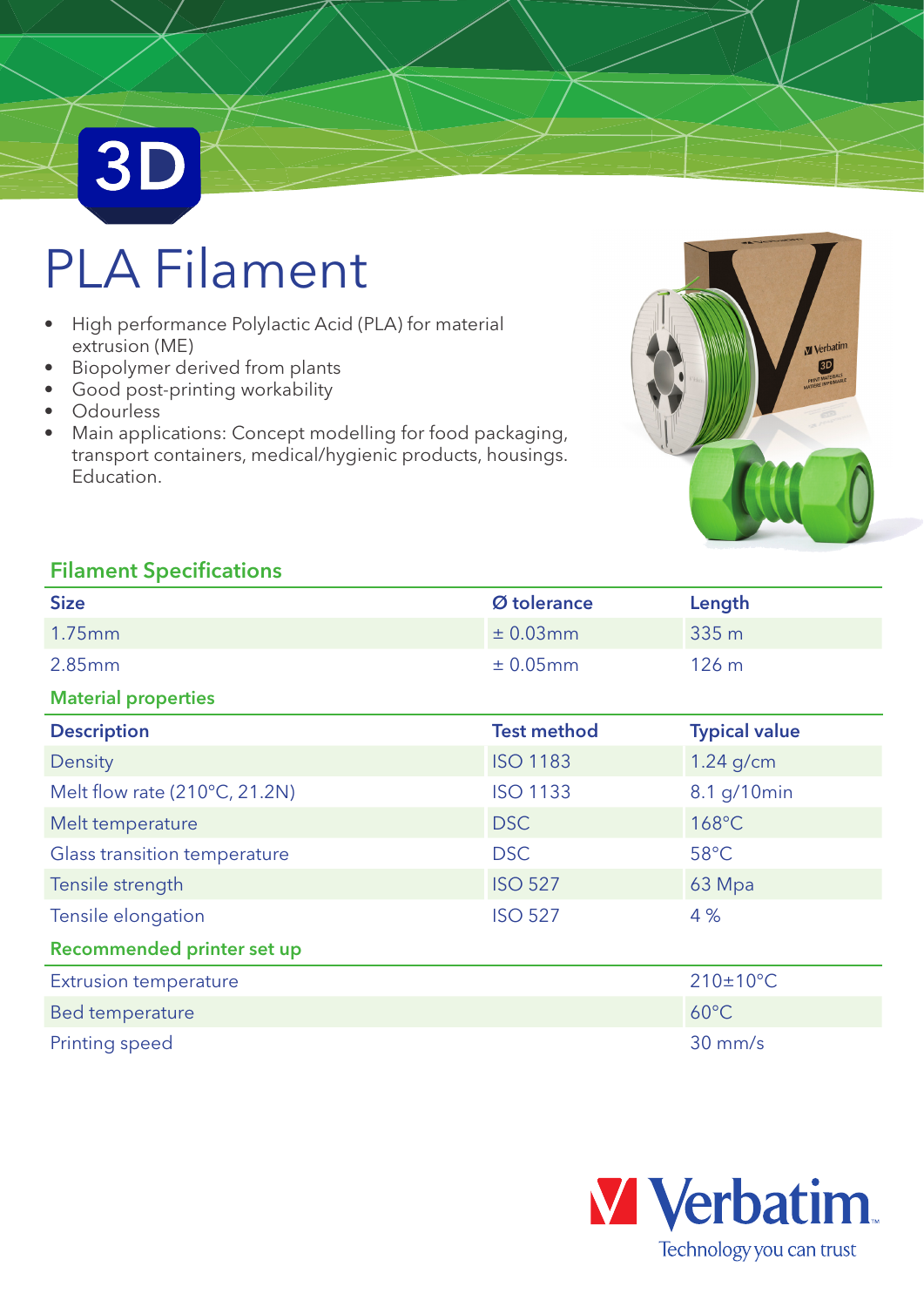# PLA Filament

- High performance Polylactic Acid (PLA) for material extrusion (ME)
- Biopolymer derived from plants
- Good post-printing workability
- Odourless

**3D** 

• Main applications: Concept modelling for food packaging, transport containers, medical/hygienic products, housings. Education.



### Filament Specifications

| <b>Size</b>                   | Ø tolerance        | Length               |  |
|-------------------------------|--------------------|----------------------|--|
| 1.75mm                        | ± 0.03mm           | 335 m                |  |
| 2.85mm                        | ± 0.05mm           | 126 m                |  |
| <b>Material properties</b>    |                    |                      |  |
| <b>Description</b>            | <b>Test method</b> | <b>Typical value</b> |  |
| Density                       | <b>ISO 1183</b>    | $1.24$ g/cm          |  |
| Melt flow rate (210°C, 21.2N) | <b>ISO 1133</b>    | 8.1 g/10min          |  |
| Melt temperature              | <b>DSC</b>         | 168°C                |  |
| Glass transition temperature  | <b>DSC</b>         | 58°C                 |  |
| Tensile strength              | <b>ISO 527</b>     | 63 Mpa               |  |
| Tensile elongation            | <b>ISO 527</b>     | 4 %                  |  |
| Recommended printer set up    |                    |                      |  |
| <b>Extrusion temperature</b>  |                    | $210\pm10^{\circ}$ C |  |
| Bed temperature               |                    | $60^{\circ}$ C       |  |
| Printing speed                |                    | $30$ mm/s            |  |